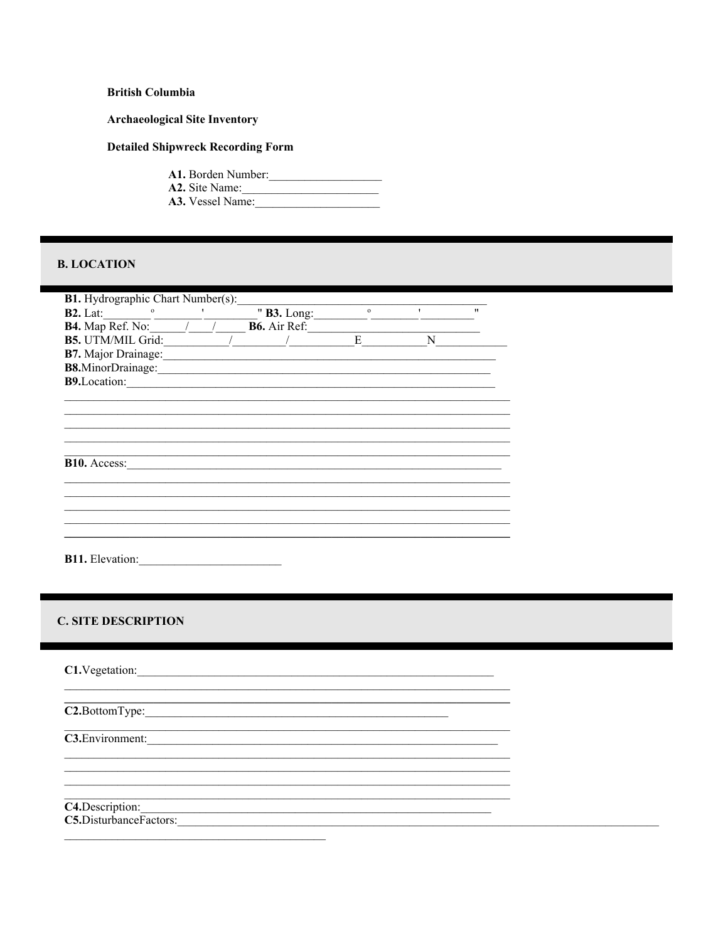### **British Columbia**

#### **Archaeological Site Inventory**

#### **Detailed Shipwreck Recording Form**

A1. Borden Number: A2. Site Name: A3. Vessel Name:

### **B. LOCATION**

| <b>B1.</b> Hydrographic Chart Number(s):      |  |  |                                  |         |              |                   |
|-----------------------------------------------|--|--|----------------------------------|---------|--------------|-------------------|
| $B2.$ Lat:<br>$\mathbf{o}$                    |  |  | " <b>B3.</b> Long: $\frac{1}{2}$ | $\circ$ | $\mathbf{r}$ | $^{\prime\prime}$ |
| <b>B4.</b> Map Ref. No: $\overline{\qquad}$ / |  |  | <b>B6.</b> Air Ref:              |         |              |                   |
| <b>B5.</b> UTM/MIL Grid:                      |  |  |                                  | E       | N            |                   |
| <b>B7.</b> Major Drainage:                    |  |  |                                  |         |              |                   |
| B8.MinorDrainage:                             |  |  |                                  |         |              |                   |
| <b>B9.</b> Location:                          |  |  |                                  |         |              |                   |
|                                               |  |  |                                  |         |              |                   |
|                                               |  |  |                                  |         |              |                   |
|                                               |  |  |                                  |         |              |                   |
|                                               |  |  |                                  |         |              |                   |
|                                               |  |  |                                  |         |              |                   |
| <b>B10.</b> Access:                           |  |  |                                  |         |              |                   |
|                                               |  |  |                                  |         |              |                   |
|                                               |  |  |                                  |         |              |                   |
|                                               |  |  |                                  |         |              |                   |
|                                               |  |  |                                  |         |              |                   |
|                                               |  |  |                                  |         |              |                   |
|                                               |  |  |                                  |         |              |                   |
| <b>B11.</b> Elevation:                        |  |  |                                  |         |              |                   |

<u> 1989 - Jan James James Barnett, martin de la propincia de la propincia de la propincia de la propincia de la</u> <u> 1980 - Johann Barn, fransk politik (f. 1980)</u>

<u> 1990 - John Stein, amerikansk politiker</u>

<u> 1989 - Johann Barbara, martxa amerikan bashkar (</u>

### **C. SITE DESCRIPTION**

C1.Vegetation:

 $C2.$ BottomType:

C3. Environment:

C4.Description:

C5.DisturbanceFactors: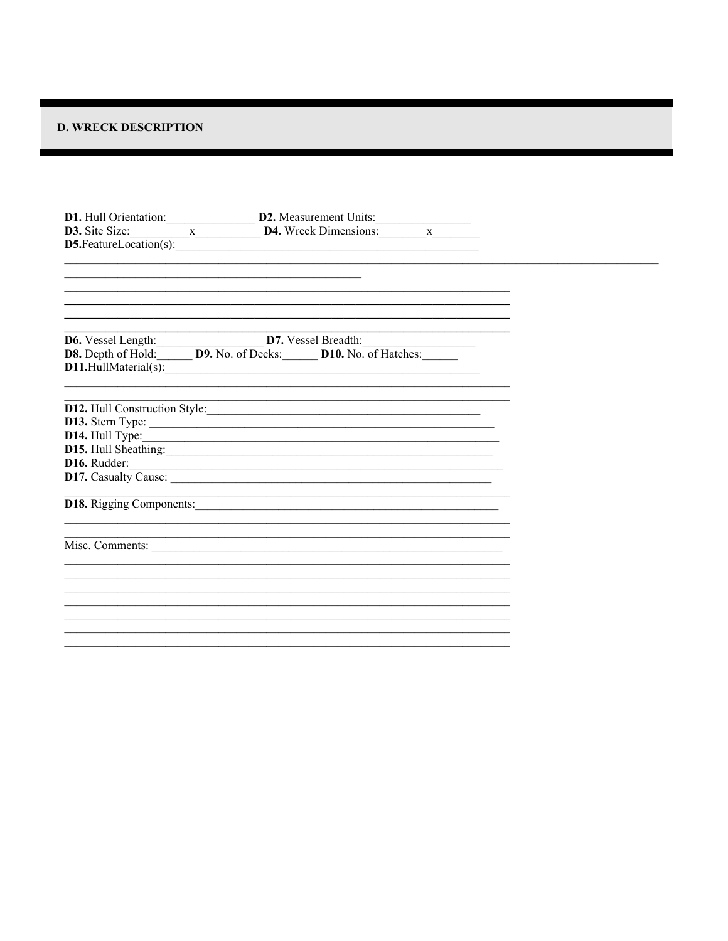## **D. WRECK DESCRIPTION**

| <b>D1.</b> Hull Orientation: $\underline{\hspace{1cm}}$ <b>D2.</b> Measurement Units: $\underline{\hspace{1cm}}$ <b>D3.</b> Site Size: $\underline{\hspace{1cm}}$ <b>x</b> $\underline{\hspace{1cm}}$ <b>D4.</b> Wreck Dimensions: $\underline{\hspace{1cm}}$ <b>x</b> | D5.FeatureLocation(s):                                                                                                                                                                                                         |  |
|------------------------------------------------------------------------------------------------------------------------------------------------------------------------------------------------------------------------------------------------------------------------|--------------------------------------------------------------------------------------------------------------------------------------------------------------------------------------------------------------------------------|--|
|                                                                                                                                                                                                                                                                        |                                                                                                                                                                                                                                |  |
| <b>D6.</b> Vessel Length: <b>D7.</b> Vessel Breadth: <b>D8.</b> Depth of Hold: <b>D9.</b> No. of Decks: <b>D10.</b> No. of Hatches:                                                                                                                                    |                                                                                                                                                                                                                                |  |
|                                                                                                                                                                                                                                                                        |                                                                                                                                                                                                                                |  |
|                                                                                                                                                                                                                                                                        | D12. Hull Construction Style:                                                                                                                                                                                                  |  |
|                                                                                                                                                                                                                                                                        | D15. Hull Sheathing: 2002 and 2003 and 2003 and 2003 and 2003 and 2003 and 2003 and 2003 and 2003 and 2003 and 2003 and 2003 and 2003 and 2003 and 2003 and 2003 and 2003 and 2003 and 2003 and 2003 and 2003 and 2003 and 200 |  |
|                                                                                                                                                                                                                                                                        | D16. Rudder:                                                                                                                                                                                                                   |  |
|                                                                                                                                                                                                                                                                        |                                                                                                                                                                                                                                |  |
|                                                                                                                                                                                                                                                                        | Misc. Comments:                                                                                                                                                                                                                |  |
|                                                                                                                                                                                                                                                                        |                                                                                                                                                                                                                                |  |
|                                                                                                                                                                                                                                                                        |                                                                                                                                                                                                                                |  |
|                                                                                                                                                                                                                                                                        |                                                                                                                                                                                                                                |  |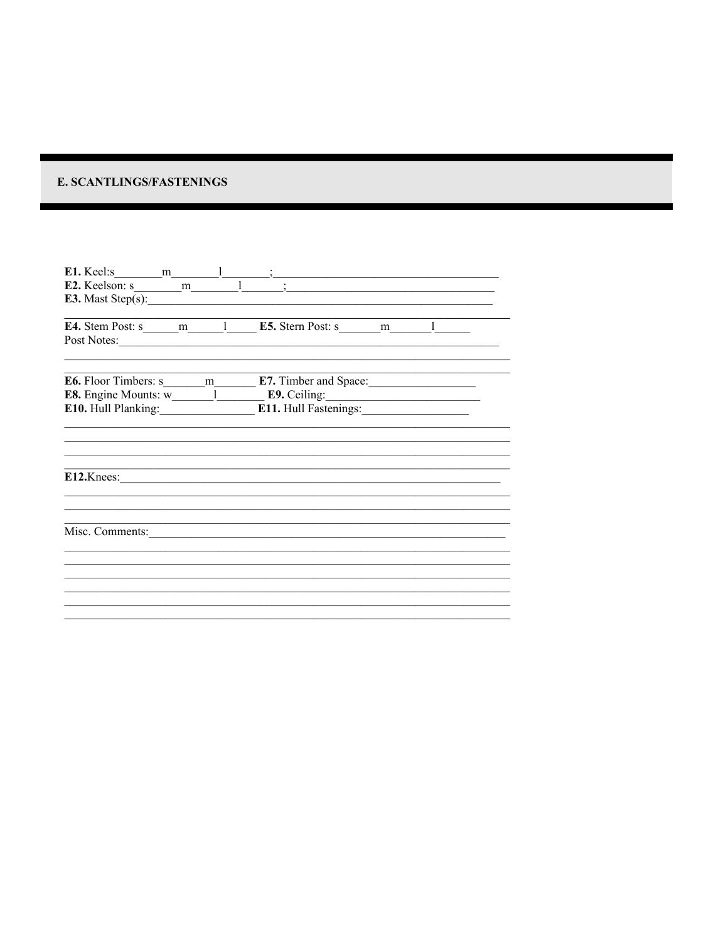## E. SCANTLINGS/FASTENINGS

| E3. Mast $Step(s)$ :                                                            |                                                                                                                        |
|---------------------------------------------------------------------------------|------------------------------------------------------------------------------------------------------------------------|
| <b>E4.</b> Stem Post: s _____ m _____ 1 _____ <b>E5.</b> Stern Post: s ______ m |                                                                                                                        |
|                                                                                 |                                                                                                                        |
|                                                                                 |                                                                                                                        |
|                                                                                 | <b>E8.</b> Engine Mounts: $\overline{w_1}$ <b>E9.</b> Ceiling: <b>E10.</b> Hull Planking: <b>E11.</b> Hull Fastenings: |
| $E12.$ Knees:                                                                   |                                                                                                                        |
|                                                                                 |                                                                                                                        |
| Misc. Comments:                                                                 |                                                                                                                        |
|                                                                                 |                                                                                                                        |
|                                                                                 |                                                                                                                        |
|                                                                                 |                                                                                                                        |
|                                                                                 |                                                                                                                        |
|                                                                                 |                                                                                                                        |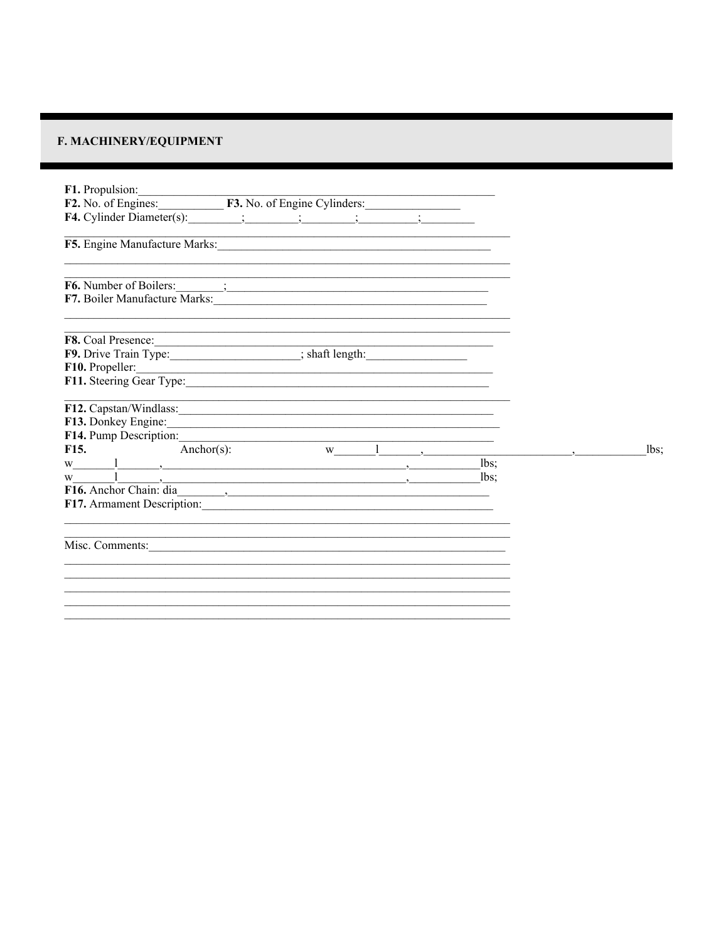# F. MACHINERY/EQUIPMENT

| F1. Propulsion:                                                                                                                                                                                                                                                                                                |                                                                                                                     |  |      |      |
|----------------------------------------------------------------------------------------------------------------------------------------------------------------------------------------------------------------------------------------------------------------------------------------------------------------|---------------------------------------------------------------------------------------------------------------------|--|------|------|
| F2. No. of Engines: F3. No. of Engine Cylinders:                                                                                                                                                                                                                                                               |                                                                                                                     |  |      |      |
| F4. Cylinder Diameter(s): $\qquad \qquad ; \qquad \qquad ; \qquad \qquad ; \qquad \qquad ; \qquad \qquad ; \qquad \qquad$                                                                                                                                                                                      |                                                                                                                     |  |      |      |
| F5. Engine Manufacture Marks: 1997 Manufacture Marks: 1997                                                                                                                                                                                                                                                     |                                                                                                                     |  |      |      |
| F6. Number of Boilers: ________;                                                                                                                                                                                                                                                                               |                                                                                                                     |  |      |      |
|                                                                                                                                                                                                                                                                                                                |                                                                                                                     |  |      |      |
|                                                                                                                                                                                                                                                                                                                |                                                                                                                     |  |      |      |
|                                                                                                                                                                                                                                                                                                                |                                                                                                                     |  |      |      |
|                                                                                                                                                                                                                                                                                                                |                                                                                                                     |  |      |      |
| F11. Steering Gear Type: 1997                                                                                                                                                                                                                                                                                  |                                                                                                                     |  |      |      |
| F12. Capstan/Windlass:                                                                                                                                                                                                                                                                                         | <u> 1989 - Johann John Stone, meny ambany amin'ny fivondronan-kaominin'i Paris (no ben'ny faritr'i Nord-Amerika</u> |  |      |      |
| F13. Donkey Engine:                                                                                                                                                                                                                                                                                            |                                                                                                                     |  |      |      |
| F14. Pump Description: $\frac{w}{1}$ $\frac{1}{w}$ $\frac{1}{w}$ $\frac{1}{w}$ $\frac{1}{w}$ $\frac{1}{w}$ $\frac{1}{w}$ $\frac{1}{w}$ $\frac{1}{w}$ $\frac{1}{w}$ $\frac{1}{w}$ $\frac{1}{w}$ $\frac{1}{w}$ $\frac{1}{w}$ $\frac{1}{w}$ $\frac{1}{w}$ $\frac{1}{w}$ $\frac{1}{w}$ $\frac{1}{w}$ $\frac{1}{w}$ |                                                                                                                     |  |      |      |
|                                                                                                                                                                                                                                                                                                                |                                                                                                                     |  |      | lbs; |
| $W$ and $\frac{1}{2}$ and $\frac{1}{2}$ are $\frac{1}{2}$ and $\frac{1}{2}$ are $\frac{1}{2}$ and $\frac{1}{2}$ are $\frac{1}{2}$ and $\frac{1}{2}$ are $\frac{1}{2}$ and $\frac{1}{2}$ are $\frac{1}{2}$ and $\frac{1}{2}$ are $\frac{1}{2}$ and $\frac{1}{2}$ are $\frac{1}{2}$ and $\frac$                  |                                                                                                                     |  | lbs: |      |
| $\overline{\phantom{a}}$<br>W                                                                                                                                                                                                                                                                                  |                                                                                                                     |  | lbs  |      |
| F17. Armament Description:                                                                                                                                                                                                                                                                                     |                                                                                                                     |  |      |      |
|                                                                                                                                                                                                                                                                                                                |                                                                                                                     |  |      |      |
| Misc. Comments: <u>Comments:</u>                                                                                                                                                                                                                                                                               |                                                                                                                     |  |      |      |
|                                                                                                                                                                                                                                                                                                                |                                                                                                                     |  |      |      |
|                                                                                                                                                                                                                                                                                                                |                                                                                                                     |  |      |      |
|                                                                                                                                                                                                                                                                                                                |                                                                                                                     |  |      |      |
|                                                                                                                                                                                                                                                                                                                |                                                                                                                     |  |      |      |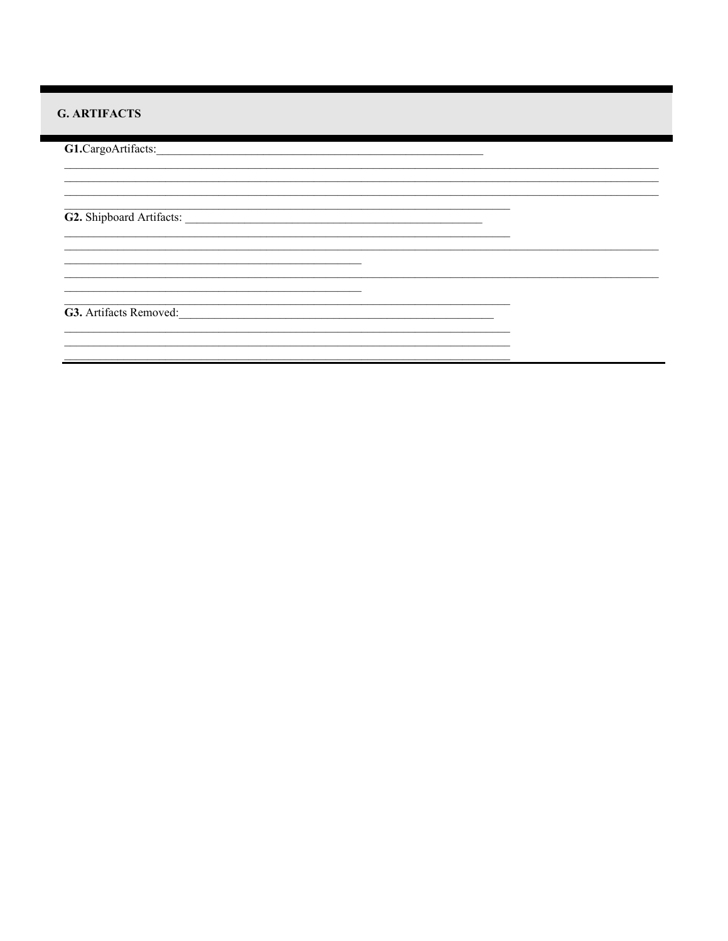# **G. ARTIFACTS**

G1.CargoArtifacts: <u> 1990 - Johann Barbara, martin a</u> <u> 1989 - Johann John Stein, mars an deutscher Stein († 1958)</u> G2. Shipboard Artifacts: <u> 1989 - Andrea Barbara, presidente de la contrada de la contrada de la contrada de la contrada de la contrada</u> G3. Artifacts Removed:  $\overline{\phantom{a}}$ <u> 1989 - Johann John Stone, mars eta bainar eta bainar eta baina eta baina eta baina eta baina eta baina eta b</u>